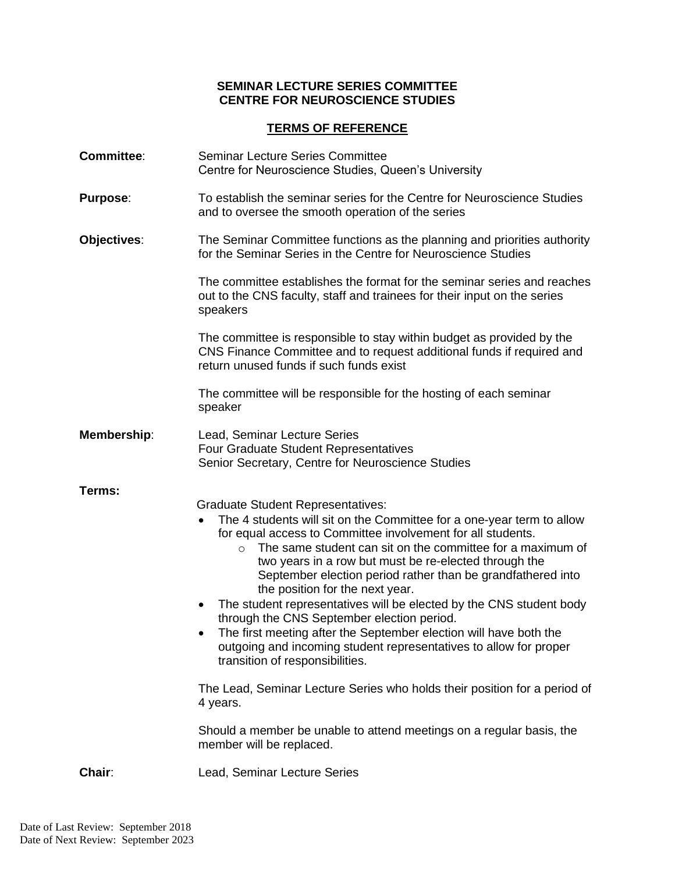## **SEMINAR LECTURE SERIES COMMITTEE CENTRE FOR NEUROSCIENCE STUDIES**

## **TERMS OF REFERENCE**

| <b>Committee:</b>  | <b>Seminar Lecture Series Committee</b><br>Centre for Neuroscience Studies, Queen's University                                                                                                                                                                                                                                                                                                                                                                                                                                                                                                                                                                                                                                                                                                                                                                                                       |
|--------------------|------------------------------------------------------------------------------------------------------------------------------------------------------------------------------------------------------------------------------------------------------------------------------------------------------------------------------------------------------------------------------------------------------------------------------------------------------------------------------------------------------------------------------------------------------------------------------------------------------------------------------------------------------------------------------------------------------------------------------------------------------------------------------------------------------------------------------------------------------------------------------------------------------|
| <b>Purpose:</b>    | To establish the seminar series for the Centre for Neuroscience Studies<br>and to oversee the smooth operation of the series                                                                                                                                                                                                                                                                                                                                                                                                                                                                                                                                                                                                                                                                                                                                                                         |
| Objectives:        | The Seminar Committee functions as the planning and priorities authority<br>for the Seminar Series in the Centre for Neuroscience Studies                                                                                                                                                                                                                                                                                                                                                                                                                                                                                                                                                                                                                                                                                                                                                            |
|                    | The committee establishes the format for the seminar series and reaches<br>out to the CNS faculty, staff and trainees for their input on the series<br>speakers                                                                                                                                                                                                                                                                                                                                                                                                                                                                                                                                                                                                                                                                                                                                      |
|                    | The committee is responsible to stay within budget as provided by the<br>CNS Finance Committee and to request additional funds if required and<br>return unused funds if such funds exist                                                                                                                                                                                                                                                                                                                                                                                                                                                                                                                                                                                                                                                                                                            |
|                    | The committee will be responsible for the hosting of each seminar<br>speaker                                                                                                                                                                                                                                                                                                                                                                                                                                                                                                                                                                                                                                                                                                                                                                                                                         |
| <b>Membership:</b> | Lead, Seminar Lecture Series<br>Four Graduate Student Representatives<br>Senior Secretary, Centre for Neuroscience Studies                                                                                                                                                                                                                                                                                                                                                                                                                                                                                                                                                                                                                                                                                                                                                                           |
| Terms:             | <b>Graduate Student Representatives:</b><br>The 4 students will sit on the Committee for a one-year term to allow<br>for equal access to Committee involvement for all students.<br>The same student can sit on the committee for a maximum of<br>$\circ$<br>two years in a row but must be re-elected through the<br>September election period rather than be grandfathered into<br>the position for the next year.<br>The student representatives will be elected by the CNS student body<br>$\bullet$<br>through the CNS September election period.<br>The first meeting after the September election will have both the<br>outgoing and incoming student representatives to allow for proper<br>transition of responsibilities.<br>The Lead, Seminar Lecture Series who holds their position for a period of<br>4 years.<br>Should a member be unable to attend meetings on a regular basis, the |
|                    | member will be replaced.                                                                                                                                                                                                                                                                                                                                                                                                                                                                                                                                                                                                                                                                                                                                                                                                                                                                             |
| Chair:             | Lead, Seminar Lecture Series                                                                                                                                                                                                                                                                                                                                                                                                                                                                                                                                                                                                                                                                                                                                                                                                                                                                         |